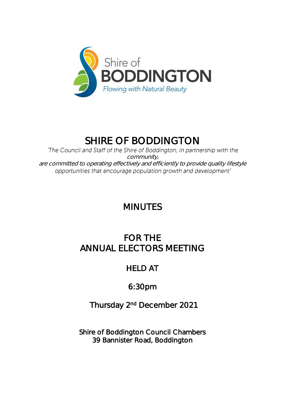

# SHIRE OF BODDINGTON

'The Council and Staff of the Shire of Boddington, in partnership with the community, are committed to operating effectively and efficiently to provide quality lifestyle opportunities that encourage population growth and development'

## MINUTES

## FOR THE ANNUAL ELECTORS MEETING

## HELD AT

## 6:30pm

## Thursday 2<sup>nd</sup> December 2021

Shire of Boddington Council Chambers 39 Bannister Road, Boddington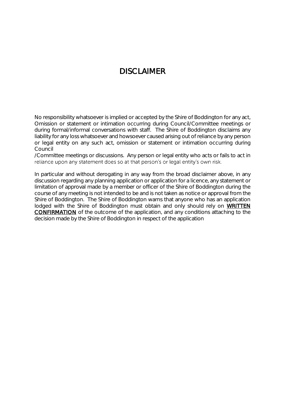### DISCLAIMER

No responsibility whatsoever is implied or accepted by the Shire of Boddington for any act, Omission or statement or intimation occurring during Council/Committee meetings or during formal/informal conversations with staff. The Shire of Boddington disclaims any liability for any loss whatsoever and howsoever caused arising out of reliance by any person or legal entity on any such act, omission or statement or intimation occurring during Council

/Committee meetings or discussions. Any person or legal entity who acts or fails to act in reliance upon any statement does so at that person's or legal entity's own risk.

In particular and without derogating in any way from the broad disclaimer above, in any discussion regarding any planning application or application for a licence, any statement or limitation of approval made by a member or officer of the Shire of Boddington during the course of any meeting is not intended to be and is not taken as notice or approval from the Shire of Boddington. The Shire of Boddington warns that anyone who has an application lodged with the Shire of Boddington must obtain and only should rely on WRITTEN CONFIRMATION of the outcome of the application, and any conditions attaching to the decision made by the Shire of Boddington in respect of the application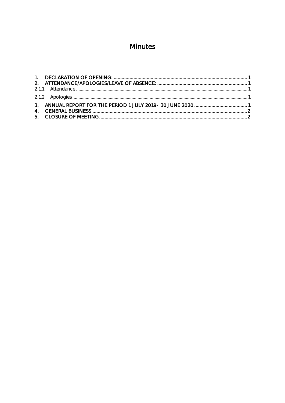## Minutes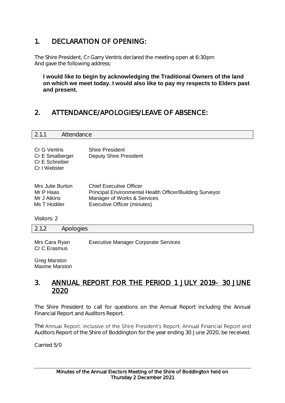### <span id="page-3-0"></span>1. DECLARATION OF OPENING:

The Shire President, Cr Garry Ventris declared the meeting open at 6:30pm And gave the following address:

**I would like to begin by acknowledging the Traditional Owners of the land on which we meet today. I would also like to pay my respects to Elders past and present.**

### <span id="page-3-1"></span>2. ATTENDANCE/APOLOGIES/LEAVE OF ABSENCE:

<span id="page-3-2"></span>

| 2.1.1                                                             | Attendance |                                                         |  |
|-------------------------------------------------------------------|------------|---------------------------------------------------------|--|
| Cr G Ventris<br>Cr E Smalberger<br>Cr E Schreiber<br>Cr I Webster |            | <b>Shire President</b><br><b>Deputy Shire President</b> |  |

| Mrs Julie Burton | <b>Chief Executive Officer</b>                           |
|------------------|----------------------------------------------------------|
| Mr P Haas        | Principal Environmental Health Officer/Building Surveyor |
| Mr J Atkins      | Manager of Works & Services                              |
| Ms T Hodder      | Executive Officer (minutes)                              |

Visitors: 2

<span id="page-3-3"></span>2.1.2 Apologies

Mrs Cara Ryan Executive Manager Corporate Services Cr C Erasmus

Greg Marston Maxine Marston

#### <span id="page-3-4"></span>3. ANNUAL REPORT FOR THE PERIOD 1 JULY 2019- 30 JUNE 2020

The Shire President to call for questions on the Annual Report including the Annual Financial Report and Auditors Report.

The Annual Report, inclusive of the Shire President's Report, Annual Financial Report and Auditors Report of the Shire of Boddington for the year ending 30 June 2020, be received.

Carried 5/0